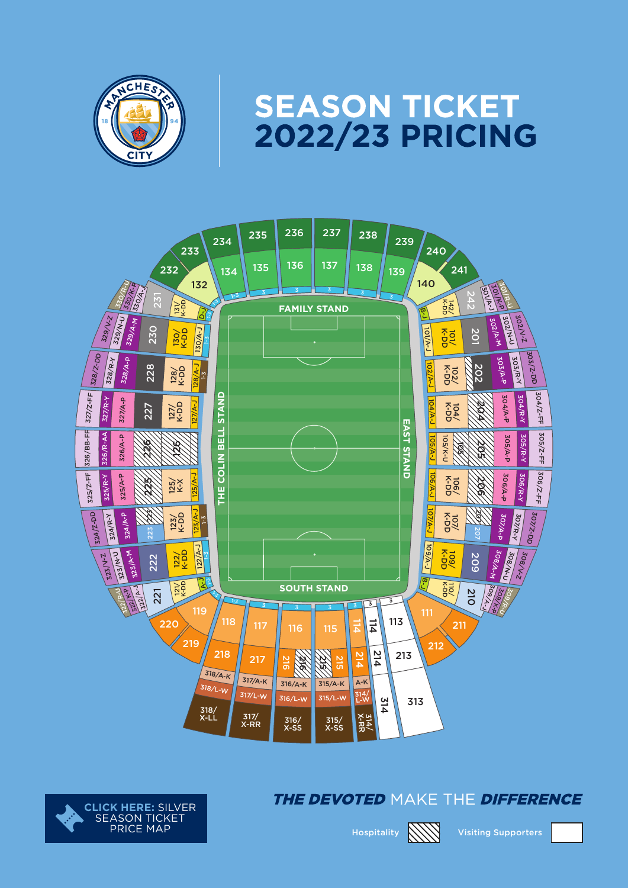

# **SEASON TICKET<br>2022/23 PRICING**





#### The devoted make the difference



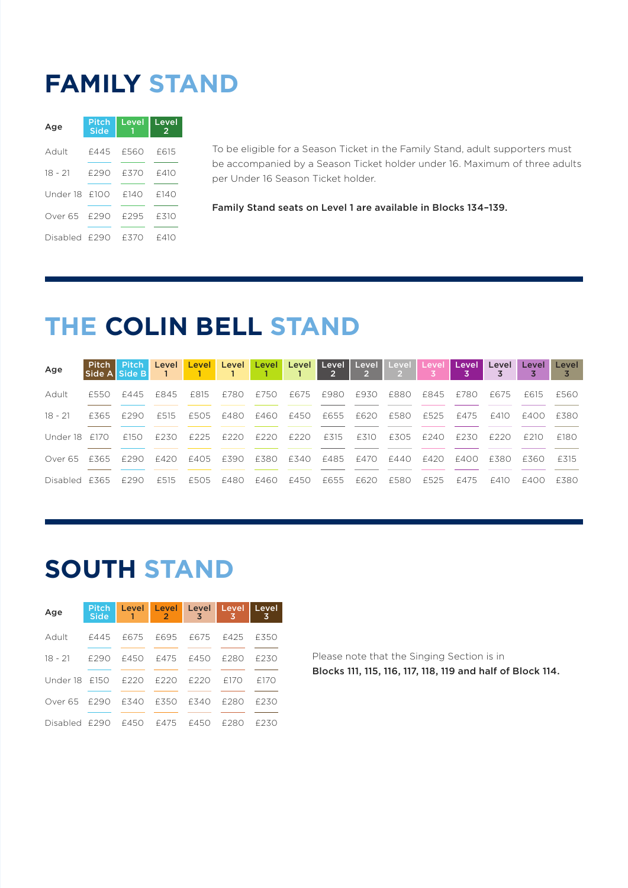#### **FAMILY STAND**

| Age            | Pitch<br><b>Side</b> | Level | Level<br>$\overline{2}$ |  |
|----------------|----------------------|-------|-------------------------|--|
| Adult          | £445                 | £560  | £615                    |  |
| $18 - 21$      | f290                 | F370  | f410                    |  |
| Under 18 f100  |                      | f140  | f140                    |  |
| Over 65 – £290 |                      | £295  | £310                    |  |
| Disabled £290  |                      | f370  | £410                    |  |

To be eligible for a Season Ticket in the Family Stand, adult supporters must be accompanied by a Season Ticket holder under 16. Maximum of three adults per Under 16 Season Ticket holder.

Family Stand seats on Level 1 are available in Blocks 134–139.

## **THE COLIN BELL STAND**

| Age           | Side A Side B |           | $\overline{1}$ |           |      |      |           | Pitch Pitch Level Level Level Level Level Level Level Level Level Level<br>$\overline{\phantom{0}}$ 2 | $\rightarrow$ | $\sim$ 2 $>$ |                | <b>Level</b> | Level | Level | Level |
|---------------|---------------|-----------|----------------|-----------|------|------|-----------|-------------------------------------------------------------------------------------------------------|---------------|--------------|----------------|--------------|-------|-------|-------|
| Adult         | £550          | f445 f845 |                | F815      | f780 | £750 | F675 F980 |                                                                                                       | £930          |              | £880 £845 £780 |              | f675  | F615  | £560  |
| 18 - 21       | f365          | F290      | F515           | f505 f480 |      |      |           | £460 £450 £655 £620 £580                                                                              |               |              | F525           | f475         | F410  | F400  | F380  |
| Under 18 f170 |               | £150      | £230           | F225      | f220 | £220 | F220      | £315                                                                                                  | F310          | £305         | f240           | F230         | F220  | F210  | £180  |
| Over 65 f 365 |               | F290      | F420           | f405 f390 |      |      |           | £380 £340 £485 £470 £440 £420                                                                         |               |              |                | F400         | F380  | F360  | £315  |
| Disabled £365 |               | f290      | £515           | f505 f480 |      | F460 | F450      | £655                                                                                                  | F620          | £580         | £525           | £475         | f410  | f400  | F380. |

## **SOUTH STAND**

| Age                         | <b>Side</b> | Pitch Level Level Level Level Level<br>$\mathbf{1}$ | $\bullet$ | -3                  | 3    | 3    |
|-----------------------------|-------------|-----------------------------------------------------|-----------|---------------------|------|------|
| Adult                       |             | £445 £675 £695 £675 £425                            |           |                     |      | £350 |
| $18 - 21$ $\div 790$        |             |                                                     |           | f450 f475 f450 f280 |      | f230 |
| Under 18 F150 F220 F220     |             |                                                     |           | F220                | f170 | £170 |
| Over 65 £290 £340 £350 £340 |             |                                                     |           |                     | £280 | f230 |
| Disabled £290               |             | f450 f475 f450                                      |           |                     | F280 | £230 |

Please note that the Singing Section is in Blocks 111, 115, 116, 117, 118, 119 and half of Block 114.